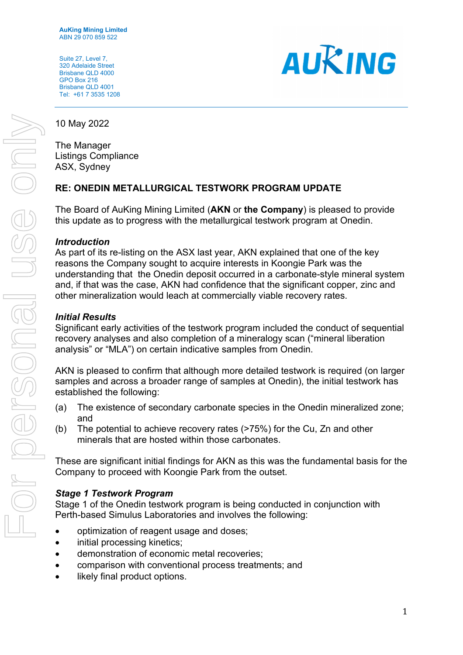Suite 27, Level 7, 320 Adelaide Street Brisbane QLD 4000 GPO Box 216 Brisbane QLD 4001 Tel: +61 7 3535 1208



10 May 2022

The Manager Listings Compliance ASX, Sydney

# **RE: ONEDIN METALLURGICAL TESTWORK PROGRAM UPDATE**

The Board of AuKing Mining Limited (**AKN** or **the Company**) is pleased to provide this update as to progress with the metallurgical testwork program at Onedin.

### *Introduction*

As part of its re-listing on the ASX last year, AKN explained that one of the key reasons the Company sought to acquire interests in Koongie Park was the understanding that the Onedin deposit occurred in a carbonate-style mineral system and, if that was the case, AKN had confidence that the significant copper, zinc and other mineralization would leach at commercially viable recovery rates.

# *Initial Results*

Significant early activities of the testwork program included the conduct of sequential recovery analyses and also completion of a mineralogy scan ("mineral liberation analysis" or "MLA") on certain indicative samples from Onedin.

AKN is pleased to confirm that although more detailed testwork is required (on larger samples and across a broader range of samples at Onedin), the initial testwork has established the following:

- (a) The existence of secondary carbonate species in the Onedin mineralized zone; and
- (b) The potential to achieve recovery rates (>75%) for the Cu, Zn and other minerals that are hosted within those carbonates.

These are significant initial findings for AKN as this was the fundamental basis for the Company to proceed with Koongie Park from the outset.

# *Stage 1 Testwork Program*

Stage 1 of the Onedin testwork program is being conducted in conjunction with Perth-based Simulus Laboratories and involves the following:

- optimization of reagent usage and doses;
- initial processing kinetics;
- demonstration of economic metal recoveries;
- comparison with conventional process treatments; and
- likely final product options.